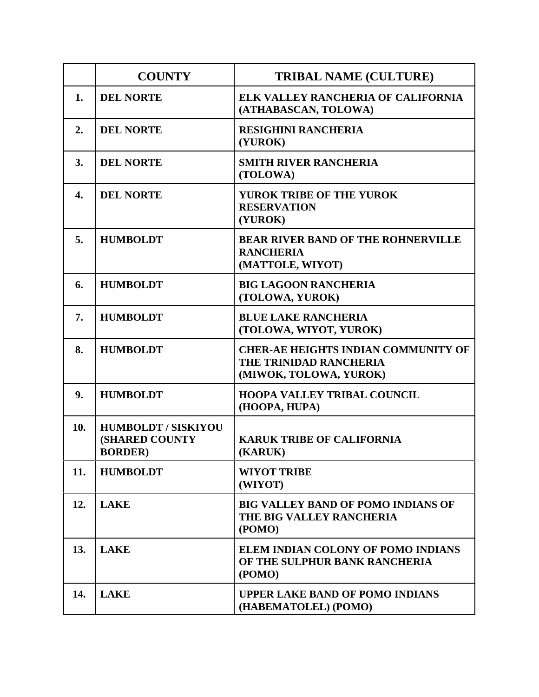|     | <b>COUNTY</b>                                                   | <b>TRIBAL NAME (CULTURE)</b>                                                                   |
|-----|-----------------------------------------------------------------|------------------------------------------------------------------------------------------------|
| 1.  | <b>DEL NORTE</b>                                                | ELK VALLEY RANCHERIA OF CALIFORNIA<br>(ATHABASCAN, TOLOWA)                                     |
| 2.  | <b>DEL NORTE</b>                                                | <b>RESIGHINI RANCHERIA</b><br>(YUROK)                                                          |
| 3.  | <b>DEL NORTE</b>                                                | <b>SMITH RIVER RANCHERIA</b><br>(TOLOWA)                                                       |
| 4.  | <b>DEL NORTE</b>                                                | <b>YUROK TRIBE OF THE YUROK</b><br><b>RESERVATION</b><br>(YUROK)                               |
| 5.  | <b>HUMBOLDT</b>                                                 | <b>BEAR RIVER BAND OF THE ROHNERVILLE</b><br><b>RANCHERIA</b><br>(MATTOLE, WIYOT)              |
| 6.  | <b>HUMBOLDT</b>                                                 | <b>BIG LAGOON RANCHERIA</b><br>(TOLOWA, YUROK)                                                 |
| 7.  | <b>HUMBOLDT</b>                                                 | <b>BLUE LAKE RANCHERIA</b><br>(TOLOWA, WIYOT, YUROK)                                           |
| 8.  | <b>HUMBOLDT</b>                                                 | <b>CHER-AE HEIGHTS INDIAN COMMUNITY OF</b><br>THE TRINIDAD RANCHERIA<br>(MIWOK, TOLOWA, YUROK) |
| 9.  | <b>HUMBOLDT</b>                                                 | <b>HOOPA VALLEY TRIBAL COUNCIL</b><br>(HOOPA, HUPA)                                            |
| 10. | <b>HUMBOLDT / SISKIYOU</b><br>(SHARED COUNTY<br><b>BORDER</b> ) | <b>KARUK TRIBE OF CALIFORNIA</b><br>(KARUK)                                                    |
| 11. | <b>HUMBOLDT</b>                                                 | <b>WIYOT TRIBE</b><br>(WIYOT)                                                                  |
| 12. | <b>LAKE</b>                                                     | <b>BIG VALLEY BAND OF POMO INDIANS OF</b><br>THE BIG VALLEY RANCHERIA<br>(POMO)                |
| 13. | <b>LAKE</b>                                                     | ELEM INDIAN COLONY OF POMO INDIANS<br>OF THE SULPHUR BANK RANCHERIA<br>(POMO)                  |
| 14. | <b>LAKE</b>                                                     | <b>UPPER LAKE BAND OF POMO INDIANS</b><br>(HABEMATOLEL) (POMO)                                 |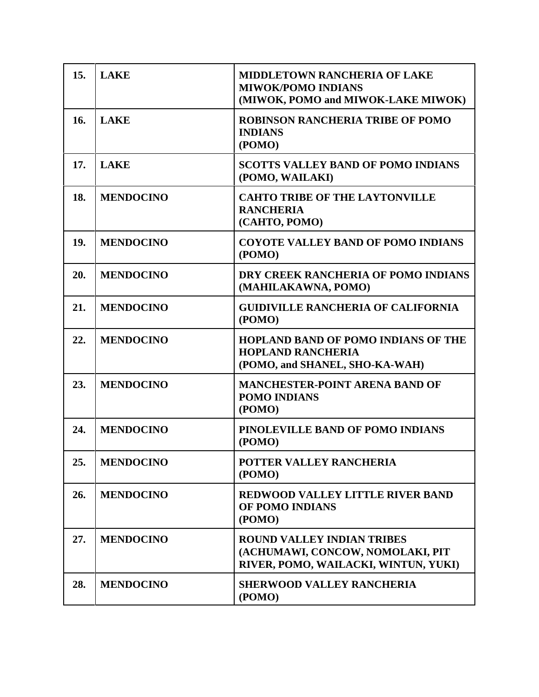| 15. | <b>LAKE</b>      | <b>MIDDLETOWN RANCHERIA OF LAKE</b><br><b>MIWOK/POMO INDIANS</b><br>(MIWOK, POMO and MIWOK-LAKE MIWOK)        |
|-----|------------------|---------------------------------------------------------------------------------------------------------------|
| 16. | <b>LAKE</b>      | <b>ROBINSON RANCHERIA TRIBE OF POMO</b><br><b>INDIANS</b><br>(POMO)                                           |
| 17. | <b>LAKE</b>      | <b>SCOTTS VALLEY BAND OF POMO INDIANS</b><br>(POMO, WAILAKI)                                                  |
| 18. | <b>MENDOCINO</b> | <b>CAHTO TRIBE OF THE LAYTONVILLE</b><br><b>RANCHERIA</b><br>(CAHTO, POMO)                                    |
| 19. | <b>MENDOCINO</b> | <b>COYOTE VALLEY BAND OF POMO INDIANS</b><br>(POMO)                                                           |
| 20. | <b>MENDOCINO</b> | DRY CREEK RANCHERIA OF POMO INDIANS<br>(MAHILAKAWNA, POMO)                                                    |
| 21. | <b>MENDOCINO</b> | <b>GUIDIVILLE RANCHERIA OF CALIFORNIA</b><br>(POMO)                                                           |
| 22. | <b>MENDOCINO</b> | HOPLAND BAND OF POMO INDIANS OF THE<br><b>HOPLAND RANCHERIA</b><br>(POMO, and SHANEL, SHO-KA-WAH)             |
| 23. | <b>MENDOCINO</b> | <b>MANCHESTER-POINT ARENA BAND OF</b><br><b>POMO INDIANS</b><br>(POMO)                                        |
| 24. | <b>MENDOCINO</b> | PINOLEVILLE BAND OF POMO INDIANS<br>(POMO)                                                                    |
| 25. | <b>MENDOCINO</b> | <b>POTTER VALLEY RANCHERIA</b><br>(POMO)                                                                      |
| 26. | <b>MENDOCINO</b> | <b>REDWOOD VALLEY LITTLE RIVER BAND</b><br>OF POMO INDIANS<br>(POMO)                                          |
| 27. | <b>MENDOCINO</b> | <b>ROUND VALLEY INDIAN TRIBES</b><br>(ACHUMAWI, CONCOW, NOMOLAKI, PIT<br>RIVER, POMO, WAILACKI, WINTUN, YUKI) |
| 28. | <b>MENDOCINO</b> | <b>SHERWOOD VALLEY RANCHERIA</b><br>(POMO)                                                                    |